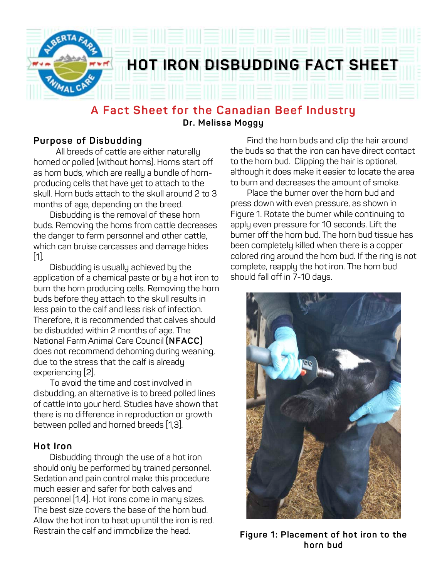

### **A Fact Sheet for the Canadian Beef Industry Dr. Melissa Moggy**

### **Purpose of Disbudding**

All breeds of cattle are either naturally horned or polled (without horns). Horns start off as horn buds, which are really a bundle of hornproducing cells that have yet to attach to the skull. Horn buds attach to the skull around 2 to 3 months of age, depending on the breed.

 Disbudding is the removal of these horn buds. Removing the horns from cattle decreases the danger to farm personnel and other cattle, which can bruise carcasses and damage hides [1].

 Disbudding is usually achieved by the application of a chemical paste or by a hot iron to burn the horn producing cells. Removing the horn buds before they attach to the skull results in less pain to the calf and less risk of infection. Therefore, it is recommended that calves should be disbudded within 2 months of age. The National Farm Animal Care Council **(NFACC)**  does not recommend dehorning during weaning, due to the stress that the calf is already experiencing [2].

 To avoid the time and cost involved in disbudding, an alternative is to breed polled lines of cattle into your herd. Studies have shown that there is no difference in reproduction or growth between polled and horned breeds [1,3].

### **Hot Iron**

 Disbudding through the use of a hot iron should only be performed by trained personnel. Sedation and pain control make this procedure much easier and safer for both calves and personnel [1,4]. Hot irons come in many sizes. The best size covers the base of the horn bud. Allow the hot iron to heat up until the iron is red. Restrain the calf and immobilize the head.

 Find the horn buds and clip the hair around the buds so that the iron can have direct contact to the horn bud. Clipping the hair is optional, although it does make it easier to locate the area to burn and decreases the amount of smoke.

 Place the burner over the horn bud and press down with even pressure, as shown in Figure 1. Rotate the burner while continuing to apply even pressure for 10 seconds. Lift the burner off the horn bud. The horn bud tissue has been completely killed when there is a copper colored ring around the horn bud. If the ring is not complete, reapply the hot iron. The horn bud should fall off in 7-10 days.



**Figure 1: Placement of hot iron to the horn bud**